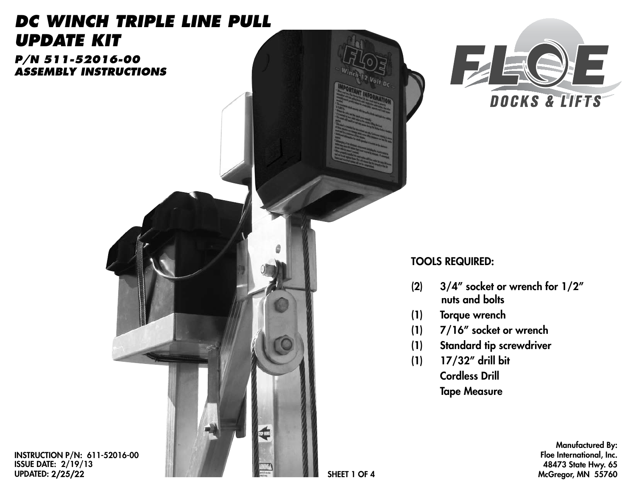### *DC WINCH triple line pull update kit*

*P/N 511-52016-00 ASSEMBLY INSTRUCTIONS*



#### TOOLS REQUIRED:

- (2) 3/4" socket or wrench for 1/2" nuts and bolts
- (1) Torque wrench
- (1) 7/16" socket or wrench
- (1) Standard tip screwdriver
- (1) 17/32" drill bit Cordless Drill Tape Measure

Manufactured By: Floe International, Inc. 48473 State Hwy. 65 McGregor, MN 55760

INSTRUCTION P/N: 611-52016-00 ISSUE DATE: 2/19/13 UPDATED:  $2/25/22$   $\blacksquare$  SHEET 1 OF 4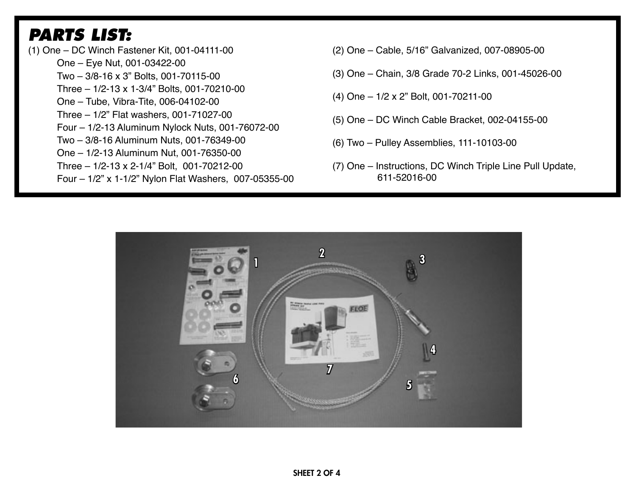# *PARTS LIST:*

- (1) One DC Winch Fastener Kit, 001-04111-00 One – Eye Nut, 001-03422-00 Two – 3/8-16 x 3" Bolts, 001-70115-00 Three – 1/2-13 x 1-3/4" Bolts, 001-70210-00 One – Tube, Vibra-Tite, 006-04102-00 Three – 1/2" Flat washers, 001-71027-00 Four – 1/2-13 Aluminum Nylock Nuts, 001-76072-00 Two – 3/8-16 Aluminum Nuts, 001-76349-00 One – 1/2-13 Aluminum Nut, 001-76350-00 Three – 1/2-13 x 2-1/4" Bolt, 001-70212-00 Four – 1/2" x 1-1/2" Nylon Flat Washers, 007-05355-00
- (2) One Cable, 5/16" Galvanized, 007-08905-00
- (3) One Chain, 3/8 Grade 70-2 Links, 001-45026-00
- (4) One 1/2 x 2" Bolt, 001-70211-00
- (5) One DC Winch Cable Bracket, 002-04155-00
- (6) Two Pulley Assemblies, 111-10103-00
- (7) One Instructions, DC Winch Triple Line Pull Update, 611-52016-00

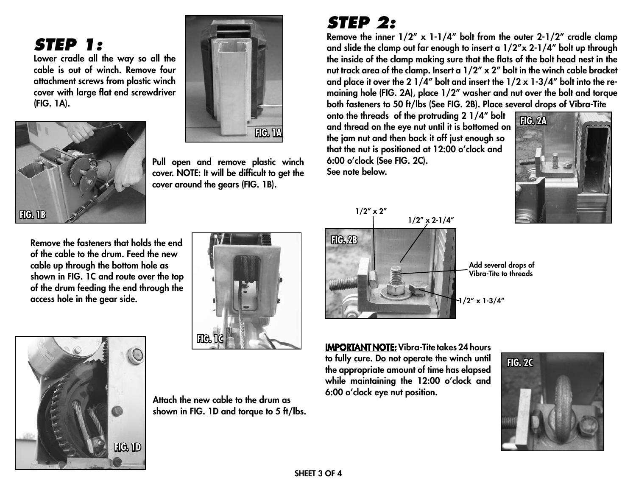# *STEP 1:*

Lower cradle all the way so all the cable is out of winch. Remove four attachment screws from plastic winch cover with large flat end screwdriver (FIG. 1A).





Pull open and remove plastic winch cover. NOTE: It will be difficult to get the cover around the gears (FIG. 1B).

Remove the fasteners that holds the end of the cable to the drum. Feed the new cable up through the bottom hole as shown in FIG. 1C and route over the top of the drum feeding the end through the access hole in the gear side.





Attach the new cable to the drum as shown in FIG. 1D and torque to 5 ft/lbs.

#### *STEP 2:*

Remove the inner 1/2" x 1-1/4" bolt from the outer 2-1/2" cradle clamp and slide the clamp out far enough to insert a 1/2"x 2-1/4" bolt up through the inside of the clamp making sure that the flats of the bolt head nest in the nut track area of the clamp. Insert a 1/2" x 2" bolt in the winch cable bracket and place it over the 2  $1/4$ " bolt and insert the  $1/2 \times 1-3/4$ " bolt into the remaining hole (FIG. 2A), place 1/2" washer and nut over the bolt and torque both fasteners to 50 ft/lbs (See FIG. 2B). Place several drops of Vibra-Tite

onto the threads of the protruding 2 1/4" bolt and thread on the eye nut until it is bottomed on the jam nut and then back it off just enough so that the nut is positioned at 12:00 o'clock and 6:00 o'clock (See FIG. 2C). See note below.



**FIG. 2A**

 Add several drops of Vibra-Tite to threads

 $-1/2$ " x  $1-3/4$ "

IMPORTANT NOTE: Vibra-Tite takes 24 hours to fully cure. Do not operate the winch until the appropriate amount of time has elapsed while maintaining the 12:00 o'clock and 6:00 o'clock eye nut position.